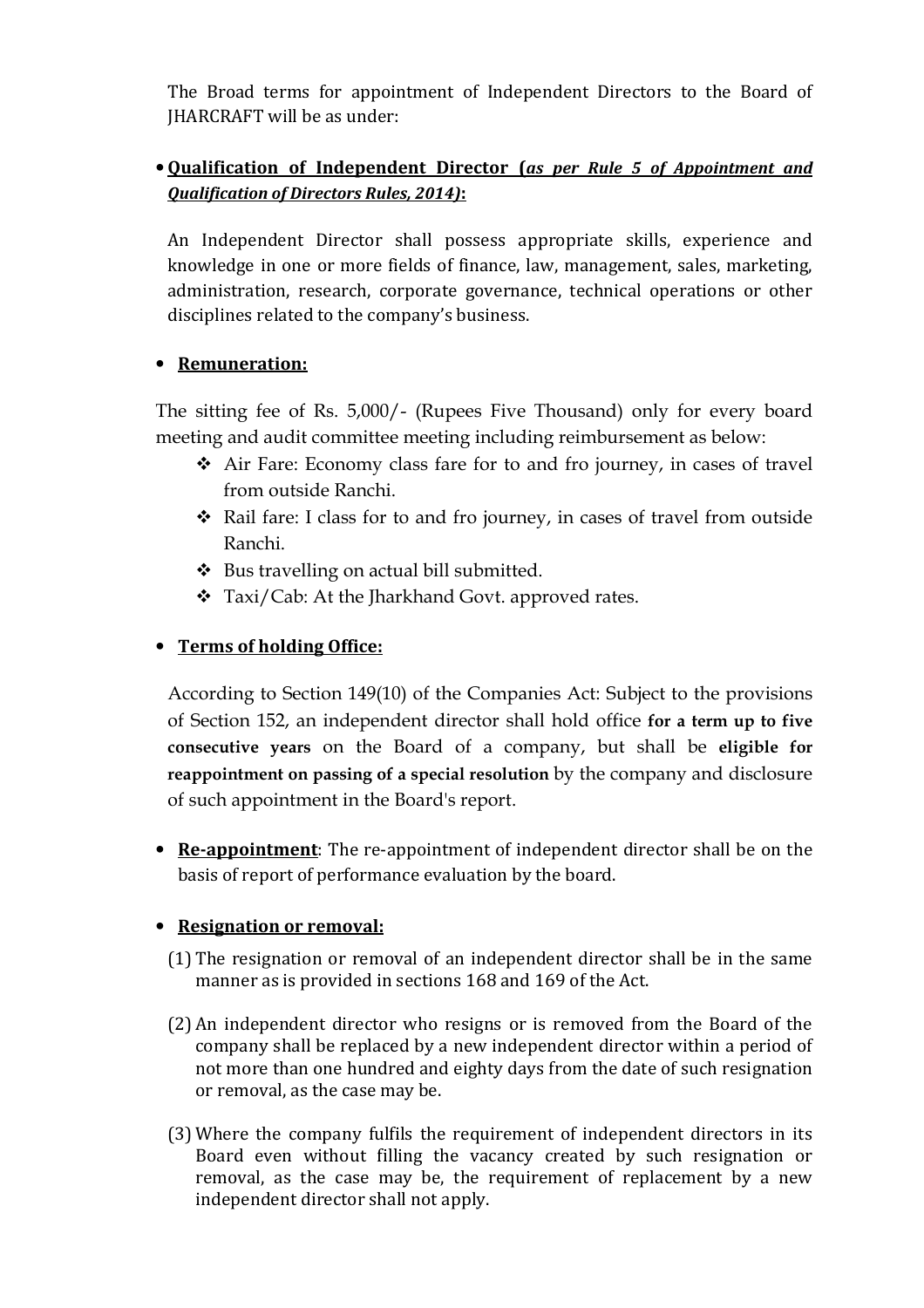The Broad terms for appointment of Independent Directors to the Board of JHARCRAFT will be as under:

# • **Qualification of Independent Director (***as per Rule 5 of Appointment and Qualification of Directors Rules, 2014)***:**

An Independent Director shall possess appropriate skills, experience and knowledge in one or more fields of finance, law, management, sales, marketing, administration, research, corporate governance, technical operations or other disciplines related to the company's business.

## • **Remuneration:**

The sitting fee of Rs. 5,000/- (Rupees Five Thousand) only for every board meeting and audit committee meeting including reimbursement as below:

- Air Fare: Economy class fare for to and fro journey, in cases of travel from outside Ranchi.
- Rail fare: I class for to and fro journey, in cases of travel from outside Ranchi.
- $\bullet$  Bus travelling on actual bill submitted.
- Taxi/Cab: At the Jharkhand Govt. approved rates.

# • **Terms of holding Office:**

According to Section 149(10) of the Companies Act: Subject to the provisions of Section 152, an independent director shall hold office **for a term up to five consecutive years** on the Board of a company, but shall be **eligible for reappointment on passing of a special resolution** by the company and disclosure of such appointment in the Board's report.

• **Re-appointment**: The re-appointment of independent director shall be on the basis of report of performance evaluation by the board.

## • **Resignation or removal:**

- (1) The resignation or removal of an independent director shall be in the same manner as is provided in sections 168 and 169 of the Act.
- (2) An independent director who resigns or is removed from the Board of the company shall be replaced by a new independent director within a period of not more than one hundred and eighty days from the date of such resignation or removal, as the case may be.
- (3) Where the company fulfils the requirement of independent directors in its Board even without filling the vacancy created by such resignation or removal, as the case may be, the requirement of replacement by a new independent director shall not apply.